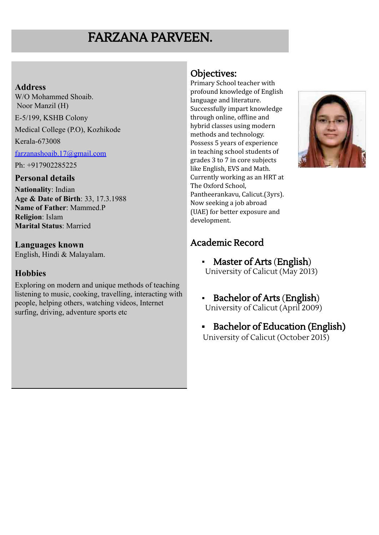# FARZANA PARVEEN.

#### **Address**

W/O Mohammed Shoaib. Noor Manzil (H) E-5/199, KSHB Colony Medical College (P.O), Kozhikode Kerala-673008 [farzanashoaib.17@gmail.com](mailto:farzanashoaib.17@gmail.com) Ph: +917902285225 **Personal details**

**Nationality**: Indian **Age & Date of Birth**: 33, 17.3.1988 **Name of Father**: Mammed.P **Religion**: Islam **Marital Status**: Married

**Languages known** English, Hindi & Malayalam.

### **Hobbies**

Exploring on modern and unique methods of teaching listening to music, cooking, travelling, interacting with people, helping others, watching videos, Internet surfing, driving, adventure sports etc

## Objectives:

Primary School teacher with profound knowledge of English language and literature. Successfully impart knowledge through online, offline and hybrid classes using modern methods and technology. Possess 5 years of experience in teaching school students of grades 3 to 7 in core subjects like English, EVS and Math. Currently working as an HRT at The Oxford School, Pantheerankavu, Calicut.(3yrs). Now seeking a job abroad (UAE) for better exposure and development.



# Academic Record

- Master of Arts (English) University of Calicut (May 2013)
- Bachelor of Arts (English) University of Calicut (April 2009)
- **▪** Bachelor of Education (English) University of Calicut (October 2015)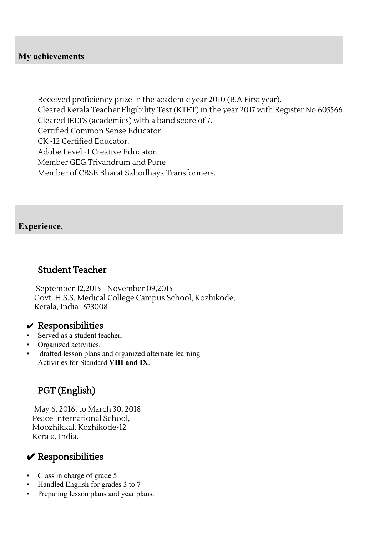#### **My achievements**

Received proficiency prize in the academic year 2010 (B.A First year). Cleared Kerala Teacher Eligibility Test (KTET) in the year 2017 with Register No.605566 Cleared IELTS (academics) with a band score of 7. Certified Common Sense Educator. CK -12 Certified Educator. Adobe Level -1 Creative Educator. Member GEG Trivandrum and Pune Member of CBSE Bharat Sahodhaya Transformers.

#### **Experience.**

### Student Teacher

September 12,2015 - November 09,2015 Govt. H.S.S. Medical College Campus School, Kozhikode, Kerala, India- 673008

#### $\boldsymbol{\nu}$  Responsibilities

- Served as a student teacher,
- Organized activities.
- drafted lesson plans and organized alternate learning Activities for Standard **VIII and IX**.

# PGT (English)

May 6, 2016, to March 30, 2018 Peace International School, Moozhikkal, Kozhikode-12 Kerala, India.

# $\vee$  Responsibilities

- Class in charge of grade 5
- Handled English for grades 3 to 7
- Preparing lesson plans and year plans.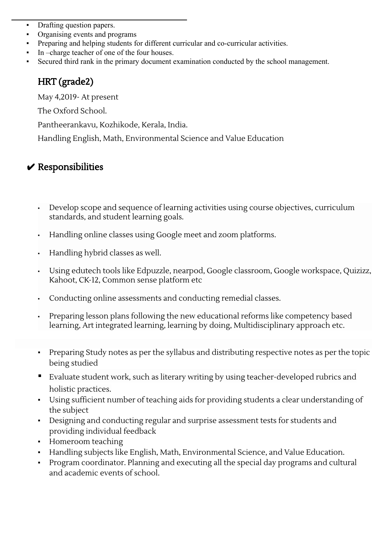- Drafting question papers.
- Organising events and programs
- Preparing and helping students for different curricular and co-curricular activities.
- In –charge teacher of one of the four houses.
- Secured third rank in the primary document examination conducted by the school management.

# HRT (grade2)

May 4,2019- At present

The Oxford School.

Pantheerankavu, Kozhikode, Kerala, India.

Handling English, Math, Environmental Science and Value Education

# $\vee$  Responsibilities

- Develop scope and sequence of learning activities using course objectives, curriculum standards, and student learning goals.
- Handling online classes using Google meet and zoom platforms.
- Handling hybrid classes as well.
- Using edutech tools like Edpuzzle, nearpod, Google classroom, Google workspace, Quizizz, Kahoot, CK-12, Common sense platform etc
- Conducting online assessments and conducting remedial classes.
- Preparing lesson plans following the new educational reforms like competency based learning, Art integrated learning, learning by doing, Multidisciplinary approach etc.
- Preparing Study notes as per the syllabus and distributing respective notes as per the topic being studied
- Evaluate student work, such as literary writing by using teacher-developed rubrics and holistic practices.
- Using sufficient number of teaching aids for providing students a clear understanding of the subject
- Designing and conducting regular and surprise assessment tests for students and providing individual feedback
- Homeroom teaching
- Handling subjects like English, Math, Environmental Science, and Value Education.
- Program coordinator. Planning and executing all the special day programs and cultural and academic events of school.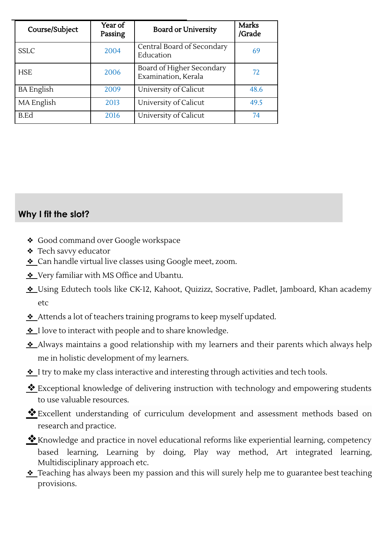| Course/Subject    | Year of<br>Passing | <b>Board or University</b>                       | Marks<br>/Grade |
|-------------------|--------------------|--------------------------------------------------|-----------------|
| <b>SSLC</b>       | 2004               | Central Board of Secondary<br>Education          | 69              |
| <b>HSE</b>        | 2006               | Board of Higher Secondary<br>Examination, Kerala | 72              |
| <b>BA</b> English | 2009               | University of Calicut                            | 48.6            |
| MA English        | 2013               | University of Calicut                            | 49.5            |
| B.Ed              | 2016               | University of Calicut                            | 74              |

**Why I fit the slot?**

- ❖ Good command over Google workspace
- ❖ Tech savvy educator
- ❖ Can handle virtual live classes using Google meet, zoom.
- ❖ Very familiar with MS Office and Ubantu.
- ❖ Using Edutech tools like CK-12, Kahoot, Quizizz, Socrative, Padlet, Jamboard, Khan academy etc
- ❖ Attends a lot of teachers training programs to keep myself updated.
- ❖ I love to interact with people and to share knowledge.
- ❖ Always maintains a good relationship with my learners and their parents which always help me in holistic development of my learners.
- ❖ I try to make my class interactive and interesting through activities and tech tools.
- ❖Exceptional knowledge of delivering instruction with technology and empowering students to use valuable resources.
- ❖Excellent understanding of curriculum development and assessment methods based on research and practice.
- Knowledge and practice in novel educational reforms like experiential learning, competency based learning, Learning by doing, Play way method, Art integrated learning, Multidisciplinary approach etc.
- ❖ Teaching has always been my passion and this will surely help me to guarantee best teaching provisions.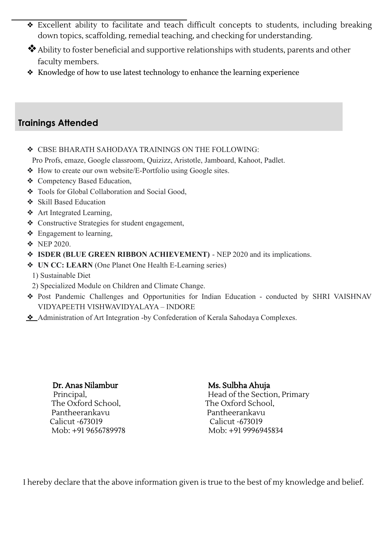- ❖ Excellent ability to facilitate and teach difficult concepts to students, including breaking down topics, scaffolding, remedial teaching, and checking for understanding.
- ❖Ability to foster beneficial and supportive relationships with students, parents and other faculty members.
- ❖ Knowledge of how to use latest technology to enhance the learning experience

### **Trainings Attended**

❖ CBSE BHARATH SAHODAYA TRAININGS ON THE FOLLOWING:

Pro Profs, emaze, Google classroom, Quizizz, Aristotle, Jamboard, Kahoot, Padlet.

- ❖ How to create our own website/E-Portfolio using Google sites.
- ❖ Competency Based Education,
- ❖ Tools for Global Collaboration and Social Good,
- ❖ Skill Based Education
- ❖ Art Integrated Learning,
- ❖ Constructive Strategies for student engagement,
- ❖ Engagement to learning,
- ❖ NEP 2020.
- ❖ **ISDER (BLUE GREEN RIBBON ACHIEVEMENT)** NEP 2020 and its implications.
- ❖ **UN CC: LEARN** (One Planet One Health E-Learning series)
	- 1) Sustainable Diet
	- 2) Specialized Module on Children and Climate Change.
- ❖ Post Pandemic Challenges and Opportunities for Indian Education conducted by SHRI VAISHNAV VIDYAPEETH VISHWAVIDYALAYA – INDORE
- ❖ Administration of Art Integration -by Confederation of Kerala Sahodaya Complexes.

### Dr. Anas Nilambur

Principal, The Oxford School, Pantheerankavu Calicut -673019 Mob: +91 9656789978

#### Ms. Sulbha Ahuja

Head of the Section, Primary The Oxford School, Pantheerankavu Calicut -673019 Mob: +91 9996945834

I hereby declare that the above information given is true to the best of my knowledge and belief.